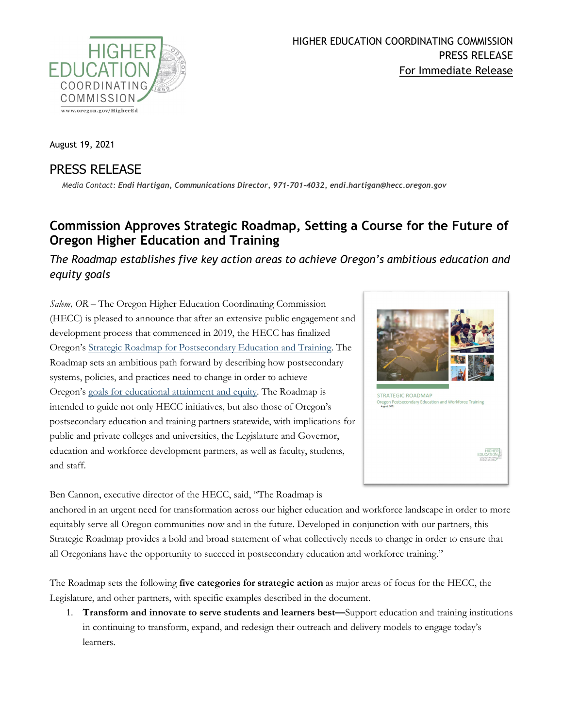

August 19, 2021

## PRESS RELEASE

*Media Contact: Endi Hartigan, Communications Director, 971-701-4032, endi.hartigan@hecc.oregon.gov*

## **Commission Approves Strategic Roadmap, Setting a Course for the Future of Oregon Higher Education and Training**

*The Roadmap establishes five key action areas to achieve Oregon's ambitious education and equity goals*

*Salem, OR –* The Oregon Higher Education Coordinating Commission (HECC) is pleased to announce that after an extensive public engagement and development process that commenced in 2019, the HECC has finalized Oregon's [Strategic Roadmap for Postsecondary](https://www.oregon.gov/highered/policy-collaboration/Pages/strategic-roadmap.aspx) Education and Training. The Roadmap sets an ambitious path forward by describing how postsecondary systems, policies, and practices need to change in order to achieve Oregon's [goals for educational attainment and equity.](https://www.oregon.gov/highered/policy-collaboration/Pages/state-goals.aspx) The Roadmap is intended to guide not only HECC initiatives, but also those of Oregon's postsecondary education and training partners statewide, with implications for public and private colleges and universities, the Legislature and Governor, education and workforce development partners, as well as faculty, students, and staff.



Ben Cannon, executive director of the HECC, said, "The Roadmap is

anchored in an urgent need for transformation across our higher education and workforce landscape in order to more equitably serve all Oregon communities now and in the future. Developed in conjunction with our partners, this Strategic Roadmap provides a bold and broad statement of what collectively needs to change in order to ensure that all Oregonians have the opportunity to succeed in postsecondary education and workforce training."

The Roadmap sets the following **five categories for strategic action** as major areas of focus for the HECC, the Legislature, and other partners, with specific examples described in the document.

1. **Transform and innovate to serve students and learners best—**Support education and training institutions in continuing to transform, expand, and redesign their outreach and delivery models to engage today's learners.